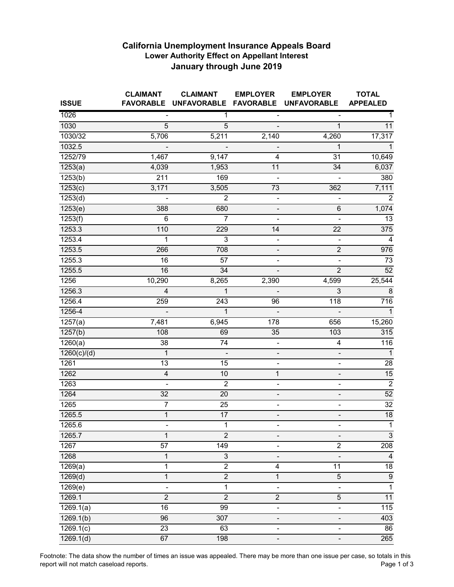## **California Unemployment Insurance Appeals Board Lower Authority Effect on Appellant Interest January through June 2019**

| <b>ISSUE</b>          | <b>CLAIMANT</b><br><b>FAVORABLE</b> | <b>CLAIMANT</b><br>UNFAVORABLE FAVORABLE | <b>EMPLOYER</b>              | <b>EMPLOYER</b><br><b>UNFAVORABLE</b> | <b>TOTAL</b><br><b>APPEALED</b> |
|-----------------------|-------------------------------------|------------------------------------------|------------------------------|---------------------------------------|---------------------------------|
| 1026                  |                                     | $\mathbf{1}$                             |                              |                                       | $\mathbf 1$                     |
| 1030                  | 5                                   | $\overline{5}$                           | $\overline{\phantom{a}}$     | 1                                     | 11                              |
| 1030/32               | 5,706                               | 5,211                                    | 2,140                        | 4,260                                 | 17,317                          |
| 1032.5                |                                     |                                          |                              | $\mathbf{1}$                          | $\mathbf{1}$                    |
| 1252/79               | 1,467                               | 9,147                                    | 4                            | $\overline{31}$                       | 10,649                          |
| 1253(a)               | 4,039                               | 1,953                                    | 11                           | 34                                    | 6,037                           |
| 1253(b)               | $\overline{211}$                    | 169                                      |                              |                                       | 380                             |
| 1253(c)               | 3,171                               | 3,505                                    | 73                           | 362                                   | 7,111                           |
| $\overline{1}253(d)$  |                                     | $\overline{2}$                           | $\blacksquare$               | $\overline{\phantom{0}}$              | $\overline{2}$                  |
| 1253(e)               | 388                                 | 680                                      |                              | 6                                     | 1,074                           |
| $\overline{1}$ 253(f) | $\,6$                               | 7                                        |                              | $\overline{\phantom{0}}$              | 13                              |
| 1253.3                | 110                                 | 229                                      | 14                           | 22                                    | 375                             |
| 1253.4                | 1                                   | $\overline{3}$                           | $\overline{\phantom{a}}$     |                                       | $\overline{4}$                  |
| 1253.5                | 266                                 | 708                                      | $\overline{\phantom{a}}$     | $\overline{2}$                        | 976                             |
| 1255.3                | 16                                  | 57                                       | $\overline{\phantom{0}}$     | $\blacksquare$                        | 73                              |
| 1255.5                | 16                                  | 34                                       | $\blacksquare$               | $\overline{2}$                        | $\overline{52}$                 |
| 1256                  | 10,290                              | 8,265                                    | 2,390                        | 4,599                                 | 25,544                          |
| 1256.3                | $\overline{4}$                      | 1                                        |                              | 3                                     | 8                               |
| 1256.4                | 259                                 | 243                                      | 96                           | 118                                   | $\overline{716}$                |
| 1256-4                |                                     | $\mathbf{1}$                             |                              |                                       | $\overline{1}$                  |
| $\sqrt{1257(a)}$      | 7,481                               | 6,945                                    | 178                          | 656                                   | 15,260                          |
| 1257(b)               | 108                                 | 69                                       | 35                           | 103                                   | 315                             |
| 1260(a)               | 38                                  | 74                                       | ÷                            | $\overline{\mathbf{4}}$               | 116                             |
| 1260(c)/(d)           | 1                                   | $\overline{\phantom{a}}$                 | -                            | -                                     | $\mathbf{1}$                    |
| 1261                  | 13                                  | 15                                       | $\overline{\phantom{0}}$     | $\qquad \qquad \blacksquare$          | 28                              |
| 1262                  | $\overline{\mathbf{4}}$             | 10                                       | 1                            | $\overline{\phantom{0}}$              | 15                              |
| 1263                  | ÷,                                  | $\overline{2}$                           | $\blacksquare$               | $\qquad \qquad \blacksquare$          | $\overline{2}$                  |
| 1264                  | $\overline{32}$                     | 20                                       | $\overline{\phantom{a}}$     | $\overline{\phantom{0}}$              | $\overline{52}$                 |
| 1265                  | 7                                   | $\overline{25}$                          |                              |                                       | $\overline{32}$                 |
| 1265.5                | $\mathbf{1}$                        | 17                                       | -                            | -                                     | 18                              |
| 1265.6                |                                     | 1                                        |                              |                                       | $\mathbf{1}$                    |
| 1265.7                | $\mathbf{1}$                        | $\overline{2}$                           |                              |                                       | $\overline{3}$                  |
| 1267                  | 57                                  | 149                                      |                              | $\overline{c}$                        | 208                             |
| 1268                  | 1                                   | $\overline{3}$                           |                              | $\overline{\phantom{0}}$              | $\overline{4}$                  |
| 1269(a)               | 1                                   | $\overline{2}$                           | 4                            | 11                                    | $\overline{18}$                 |
| 1269(d)               | $\mathbf 1$                         | $\overline{2}$                           | 1                            | $\overline{5}$                        | $\overline{9}$                  |
| $\overline{1269}$ (e) | $\overline{\phantom{0}}$            | 1                                        | $\qquad \qquad \blacksquare$ | ÷,                                    | $\overline{1}$                  |
| 1269.1                | $\overline{2}$                      | $\overline{2}$                           | $\overline{2}$               | 5                                     | 11                              |
| 1269.1(a)             | 16                                  | 99                                       | $\overline{\phantom{0}}$     | $\overline{\phantom{0}}$              | 115                             |
| 1269.1(b)             | 96                                  | 307                                      |                              | -                                     | 403                             |
| 1269.1(c)             | 23                                  | 63                                       | ÷,                           | $\overline{\phantom{0}}$              | 86                              |
| 1269.1(d)             | 67                                  | 198                                      | $\overline{\phantom{0}}$     | -                                     | 265                             |

Footnote: The data show the number of times an issue was appealed. There may be more than one issue per case, so totals in this report will not match caseload reports. report will not match caseload reports.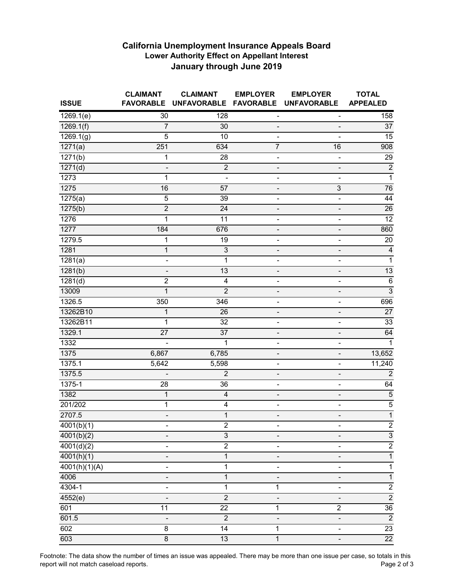## **California Unemployment Insurance Appeals Board Lower Authority Effect on Appellant Interest January through June 2019**

| <b>ISSUE</b>           | <b>CLAIMANT</b><br><b>FAVORABLE</b> | <b>CLAIMANT</b><br><b>UNFAVORABLE</b> | <b>EMPLOYER</b><br><b>FAVORABLE</b> | <b>EMPLOYER</b><br><b>UNFAVORABLE</b> | <b>TOTAL</b><br><b>APPEALED</b> |
|------------------------|-------------------------------------|---------------------------------------|-------------------------------------|---------------------------------------|---------------------------------|
| 1269.1(e)              | $\overline{30}$                     | 128                                   | $\qquad \qquad \blacksquare$        | -                                     | 158                             |
| $\overline{1269.1(f)}$ | $\overline{7}$                      | 30                                    | $\overline{\phantom{m}}$            | $\overline{\phantom{a}}$              | 37                              |
| 1269.1(g)              | 5                                   | 10                                    | $\overline{\phantom{a}}$            | L,                                    | $\overline{15}$                 |
| 1271(a)                | 251                                 | 634                                   | $\overline{7}$                      | 16                                    | 908                             |
| 1271(b)                | 1                                   | 28                                    | $\qquad \qquad \blacksquare$        | -                                     | 29                              |
| 1271(d)                | $\qquad \qquad \blacksquare$        | $\overline{2}$                        | $\overline{\phantom{0}}$            | $\qquad \qquad \blacksquare$          | $\overline{2}$                  |
| 1273                   | 1                                   |                                       |                                     | ä,                                    | $\overline{1}$                  |
| 1275                   | 16                                  | 57                                    | $\overline{\phantom{m}}$            | 3                                     | 76                              |
| 1275(a)                | 5                                   | 39                                    | $\blacksquare$                      | $\qquad \qquad \blacksquare$          | $\overline{44}$                 |
| 1275(b)                | $\overline{2}$                      | 24                                    |                                     | $\overline{\phantom{0}}$              | $\overline{26}$                 |
| 1276                   | 1                                   | 11                                    | $\frac{1}{2}$                       | -                                     | 12                              |
| 1277                   | 184                                 | 676                                   | -                                   |                                       | 860                             |
| 1279.5                 | 1                                   | 19                                    | $\qquad \qquad \blacksquare$        | $\blacksquare$                        | 20                              |
| 1281                   | $\mathbf 1$                         | $\overline{3}$                        | $\overline{\phantom{a}}$            | $\overline{\phantom{a}}$              | $\overline{4}$                  |
| $\frac{1}{281(a)}$     | $\overline{\phantom{0}}$            | 1                                     | ٠                                   | ۰                                     | $\overline{1}$                  |
| 1281(b)                |                                     | 13                                    |                                     |                                       | 13                              |
| 1281(d)                | $\overline{c}$                      | 4                                     | -                                   | -                                     | $\,6\,$                         |
| 13009                  | $\overline{1}$                      | $\overline{2}$                        | $\blacksquare$                      |                                       | $\overline{3}$                  |
| 1326.5                 | 350                                 | 346                                   |                                     | ٠                                     | 696                             |
| 13262B10               | 1                                   | 26                                    | $\overline{\phantom{a}}$            | $\overline{\phantom{a}}$              | 27                              |
| 13262B11               | 1                                   | $\overline{32}$                       | $\overline{\phantom{a}}$            | $\overline{\phantom{0}}$              | 33                              |
| 1329.1                 | $\overline{27}$                     | $\overline{37}$                       | $\qquad \qquad \blacksquare$        | $\overline{\phantom{m}}$              | 64                              |
| 1332                   |                                     | 1                                     |                                     | ٠                                     | $\overline{1}$                  |
| 1375                   | 6,867                               | 6,785                                 |                                     | $\overline{\phantom{0}}$              | 13,652                          |
| 1375.1                 | 5,642                               | 5,598                                 | $\overline{\phantom{a}}$            | $\qquad \qquad \blacksquare$          | 11,240                          |
| 1375.5                 |                                     | $\overline{c}$                        | $\qquad \qquad \blacksquare$        | $\overline{\phantom{0}}$              | $\overline{2}$                  |
| 1375-1                 | $\overline{28}$                     | 36                                    | $\overline{\phantom{a}}$            | $\qquad \qquad \blacksquare$          | 64                              |
| 1382                   | $\mathbf 1$                         | $\overline{4}$                        | $\overline{\phantom{0}}$            | $\overline{\phantom{0}}$              | $\overline{5}$                  |
| 201/202                | 1                                   | 4                                     |                                     |                                       | $\overline{5}$                  |
| 2707.5                 | $\qquad \qquad \blacksquare$        | 1                                     | -                                   | -                                     | $\overline{1}$                  |
| $\frac{4001(b)(1)}{2}$ |                                     | $\overline{c}$                        |                                     |                                       | $rac{2}{3}$                     |
| $\sqrt{4001(b)(2)}$    |                                     | $\overline{3}$                        |                                     |                                       |                                 |
| 4001(d)(2)             | ۰                                   | $\overline{2}$                        |                                     | ۰                                     | $\frac{2}{1}$                   |
| 4001(h)(1)             | $\qquad \qquad \blacksquare$        | 1                                     |                                     | -                                     |                                 |
| 4001(h)(1)(A)          | -                                   | 1                                     |                                     | -                                     | $\overline{1}$                  |
| 4006                   | -                                   | 1                                     | $\qquad \qquad \blacksquare$        | -                                     | $\overline{1}$                  |
| 4304-1                 |                                     | 1                                     | 1                                   | $\blacksquare$                        | $\overline{2}$                  |
| 4552(e)                |                                     | $\overline{2}$                        |                                     | $\blacksquare$                        | $\overline{2}$                  |
| 601                    | 11                                  | 22                                    | 1                                   | $\overline{c}$                        | $\overline{36}$                 |
| 601.5                  |                                     | $\overline{2}$                        |                                     | -                                     | $\overline{2}$                  |
| 602                    | 8                                   | 14                                    | 1                                   | $\overline{\phantom{0}}$              | 23                              |
| 603                    | $\overline{8}$                      | 13                                    | $\mathbf 1$                         | $\overline{\phantom{0}}$              | $\overline{22}$                 |

Footnote: The data show the number of times an issue was appealed. There may be more than one issue per case, so totals in this report will not match caseload reports. report will not match caseload reports.